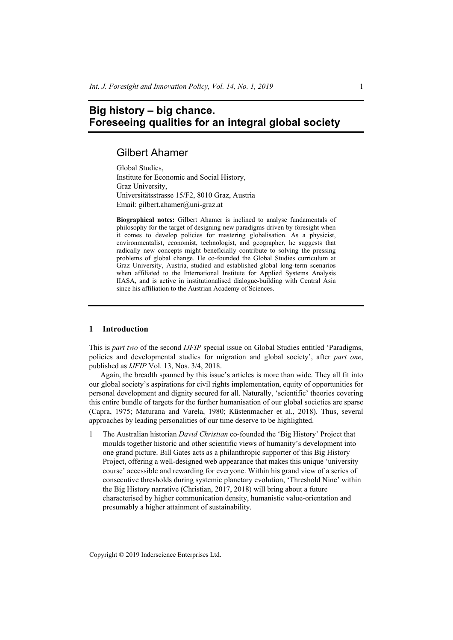# **Big history – big chance. Foreseeing qualities for an integral global society**

## Gilbert Ahamer

Global Studies, Institute for Economic and Social History, Graz University, Universitätsstrasse 15/F2, 8010 Graz, Austria Email: gilbert.ahamer@uni-graz.at

**Biographical notes:** Gilbert Ahamer is inclined to analyse fundamentals of philosophy for the target of designing new paradigms driven by foresight when it comes to develop policies for mastering globalisation. As a physicist, environmentalist, economist, technologist, and geographer, he suggests that radically new concepts might beneficially contribute to solving the pressing problems of global change. He co-founded the Global Studies curriculum at Graz University, Austria, studied and established global long-term scenarios when affiliated to the International Institute for Applied Systems Analysis IIASA, and is active in institutionalised dialogue-building with Central Asia since his affiliation to the Austrian Academy of Sciences.

#### **1 Introduction**

This is *part two* of the second *IJFIP* special issue on Global Studies entitled 'Paradigms, policies and developmental studies for migration and global society', after *part one*, published as *IJFIP* Vol. 13, Nos. 3/4, 2018.

Again, the breadth spanned by this issue's articles is more than wide. They all fit into our global society's aspirations for civil rights implementation, equity of opportunities for personal development and dignity secured for all. Naturally, 'scientific' theories covering this entire bundle of targets for the further humanisation of our global societies are sparse (Capra, 1975; Maturana and Varela, 1980; Küstenmacher et al., 2018). Thus, several approaches by leading personalities of our time deserve to be highlighted.

1 The Australian historian *David Christian* co-founded the 'Big History' Project that moulds together historic and other scientific views of humanity's development into one grand picture. Bill Gates acts as a philanthropic supporter of this Big History Project, offering a well-designed web appearance that makes this unique 'university course' accessible and rewarding for everyone. Within his grand view of a series of consecutive thresholds during systemic planetary evolution, 'Threshold Nine' within the Big History narrative (Christian, 2017, 2018) will bring about a future characterised by higher communication density, humanistic value-orientation and presumably a higher attainment of sustainability.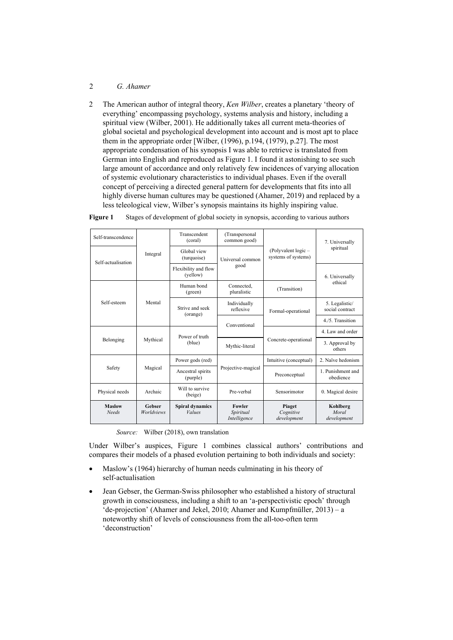### 2 *G. Ahamer*

2 The American author of integral theory, *Ken Wilber*, creates a planetary 'theory of everything' encompassing psychology, systems analysis and history, including a spiritual view (Wilber, 2001). He additionally takes all current meta-theories of global societal and psychological development into account and is most apt to place them in the appropriate order [Wilber, (1996), p.194, (1979), p.27]. The most appropriate condensation of his synopsis I was able to retrieve is translated from German into English and reproduced as Figure 1. I found it astonishing to see such large amount of accordance and only relatively few incidences of varying allocation of systemic evolutionary characteristics to individual phases. Even if the overall concept of perceiving a directed general pattern for developments that fits into all highly diverse human cultures may be questioned (Ahamer, 2019) and replaced by a less teleological view, Wilber's synopsis maintains its highly inspiring value.

| Self-transcendence            |                             | Transcendent<br>(coral)                 | (Transpersonal<br>common good)      |                                            | 7. Universally                    |
|-------------------------------|-----------------------------|-----------------------------------------|-------------------------------------|--------------------------------------------|-----------------------------------|
| Self-actualisation            | Integral                    | Global view<br>(turquoise)              | Universal common                    | (Polyvalent logic -<br>systems of systems) | spiritual                         |
| Self-esteem                   | Mental                      | Flexibility and flow<br>(yellow)        | good                                |                                            | 6. Universally<br>ethical         |
|                               |                             | Human bond<br>(green)                   | Connected.<br>pluralistic           | (Transition)                               |                                   |
|                               |                             | Strive and seek<br>(orange)             | Individually<br>reflexive           | Formal-operational                         | 5. Legalistic/<br>social contract |
|                               |                             | Power of truth                          | Conventional                        |                                            | 4/5 Transition                    |
|                               |                             |                                         |                                     |                                            | 4. Law and order                  |
| Belonging                     | Mythical                    | (blue)                                  | Mythic-literal                      | Concrete-operational                       | 3. Approval by<br>others          |
|                               |                             | Power gods (red)                        |                                     | Intuitive (conceptual)                     | 2. Naïve hedonism                 |
| Safety                        | Magical                     | Ancestral spirits<br>(purple)           | Projective-magical                  | Preconceptual                              | 1. Punishment and<br>obedience    |
| Physical needs                | Archaic                     | Will to survive<br>(beige)              | Pre-verbal                          | Sensorimotor                               | 0. Magical desire                 |
| <b>Maslow</b><br><b>Needs</b> | Gebser<br><b>Worldviews</b> | <b>Spiral dynamics</b><br><b>Values</b> | Fowler<br>Spiritual<br>Intelligence | Piaget<br>Cognitive<br>development         | Kohlberg<br>Moral<br>development  |

**Figure 1** Stages of development of global society in synopsis, according to various authors

*Source:* Wilber (2018), own translation

Under Wilber's auspices, Figure 1 combines classical authors' contributions and compares their models of a phased evolution pertaining to both individuals and society:

- Maslow's (1964) hierarchy of human needs culminating in his theory of self-actualisation
- Jean Gebser, the German-Swiss philosopher who established a history of structural growth in consciousness, including a shift to an 'a-perspectivistic epoch' through 'de-projection' (Ahamer and Jekel, 2010; Ahamer and Kumpfmüller, 2013) – a noteworthy shift of levels of consciousness from the all-too-often term 'deconstruction'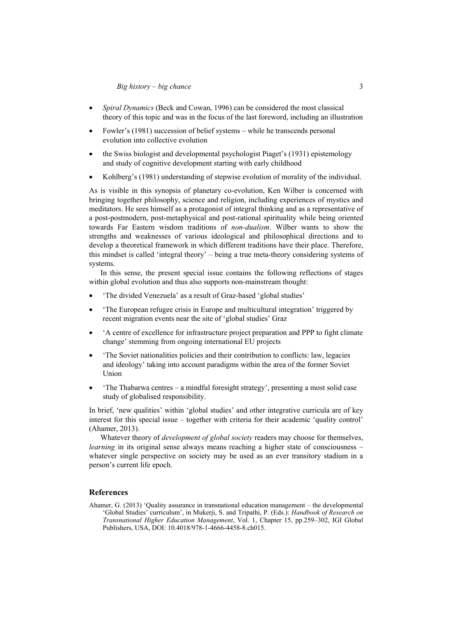- *Spiral Dynamics* (Beck and Cowan, 1996) can be considered the most classical theory of this topic and was in the focus of the last foreword, including an illustration
- Fowler's (1981) succession of belief systems while he transcends personal evolution into collective evolution
- the Swiss biologist and developmental psychologist Piaget's (1931) epistemology and study of cognitive development starting with early childhood
- Kohlberg's (1981) understanding of stepwise evolution of morality of the individual.

As is visible in this synopsis of planetary co-evolution, Ken Wilber is concerned with bringing together philosophy, science and religion, including experiences of mystics and meditators. He sees himself as a protagonist of integral thinking and as a representative of a post-postmodern, post-metaphysical and post-rational spirituality while being oriented towards Far Eastern wisdom traditions of *non-dualism*. Wilber wants to show the strengths and weaknesses of various ideological and philosophical directions and to develop a theoretical framework in which different traditions have their place. Therefore, this mindset is called 'integral theory' – being a true meta-theory considering systems of systems.

In this sense, the present special issue contains the following reflections of stages within global evolution and thus also supports non-mainstream thought:

- 'The divided Venezuela' as a result of Graz-based 'global studies'
- 'The European refugee crisis in Europe and multicultural integration' triggered by recent migration events near the site of 'global studies' Graz
- 'A centre of excellence for infrastructure project preparation and PPP to fight climate change' stemming from ongoing international EU projects
- 'The Soviet nationalities policies and their contribution to conflicts: law, legacies and ideology' taking into account paradigms within the area of the former Soviet Union
- 'The Thabarwa centres a mindful foresight strategy', presenting a most solid case study of globalised responsibility.

In brief, 'new qualities' within 'global studies' and other integrative curricula are of key interest for this special issue – together with criteria for their academic 'quality control' (Ahamer, 2013).

Whatever theory of *development of global society* readers may choose for themselves, *learning* in its original sense always means reaching a higher state of consciousness – whatever single perspective on society may be used as an ever transitory stadium in a person's current life epoch.

#### **References**

Ahamer, G. (2013) 'Quality assurance in transnational education management – the developmental 'Global Studies' curriculum', in Mukerji, S. and Tripathi, P. (Eds.): *Handbook of Research on Transnational Higher Education Management*, Vol. 1, Chapter 15, pp.259–302, IGI Global Publishers, USA, DOI: 10.4018/978-1-4666-4458-8.ch015.